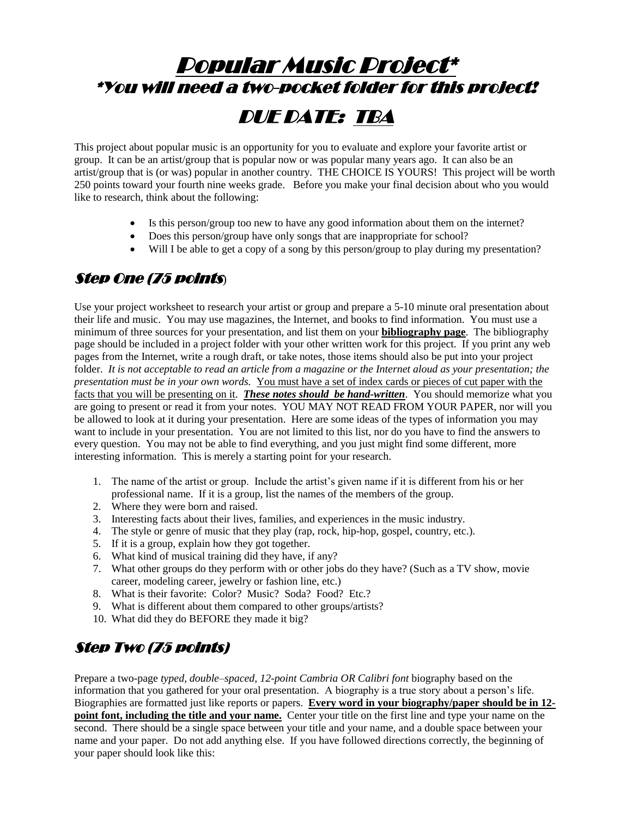# Popular Music Project\* \*You will need a two-pocket folder for this project! DUE DATE: TBA

This project about popular music is an opportunity for you to evaluate and explore your favorite artist or group. It can be an artist/group that is popular now or was popular many years ago. It can also be an artist/group that is (or was) popular in another country. THE CHOICE IS YOURS! This project will be worth 250 points toward your fourth nine weeks grade. Before you make your final decision about who you would like to research, think about the following:

- Is this person/group too new to have any good information about them on the internet?
- Does this person/group have only songs that are inappropriate for school?
- Will I be able to get a copy of a song by this person/group to play during my presentation?

#### Step One (75 points)

Use your project worksheet to research your artist or group and prepare a 5-10 minute oral presentation about their life and music. You may use magazines, the Internet, and books to find information. You must use a minimum of three sources for your presentation, and list them on your **bibliography page**. The bibliography page should be included in a project folder with your other written work for this project. If you print any web pages from the Internet, write a rough draft, or take notes, those items should also be put into your project folder. *It is not acceptable to read an article from a magazine or the Internet aloud as your presentation; the presentation must be in your own words.* You must have a set of index cards or pieces of cut paper with the facts that you will be presenting on it. *These notes should be hand-written*. You should memorize what you are going to present or read it from your notes. YOU MAY NOT READ FROM YOUR PAPER, nor will you be allowed to look at it during your presentation. Here are some ideas of the types of information you may want to include in your presentation. You are not limited to this list, nor do you have to find the answers to every question. You may not be able to find everything, and you just might find some different, more interesting information. This is merely a starting point for your research.

- 1. The name of the artist or group. Include the artist's given name if it is different from his or her professional name. If it is a group, list the names of the members of the group.
- 2. Where they were born and raised.
- 3. Interesting facts about their lives, families, and experiences in the music industry.
- 4. The style or genre of music that they play (rap, rock, hip-hop, gospel, country, etc.).
- 5. If it is a group, explain how they got together.
- 6. What kind of musical training did they have, if any?
- 7. What other groups do they perform with or other jobs do they have? (Such as a TV show, movie career, modeling career, jewelry or fashion line, etc.)
- 8. What is their favorite: Color? Music? Soda? Food? Etc.?
- 9. What is different about them compared to other groups/artists?
- 10. What did they do BEFORE they made it big?

### Step Two (75 points)

Prepare a two-page *typed, double–spaced, 12-point Cambria OR Calibri font* biography based on the information that you gathered for your oral presentation. A biography is a true story about a person's life. Biographies are formatted just like reports or papers. **Every word in your biography/paper should be in 12 point font, including the title and your name.** Center your title on the first line and type your name on the second. There should be a single space between your title and your name, and a double space between your name and your paper. Do not add anything else. If you have followed directions correctly, the beginning of your paper should look like this: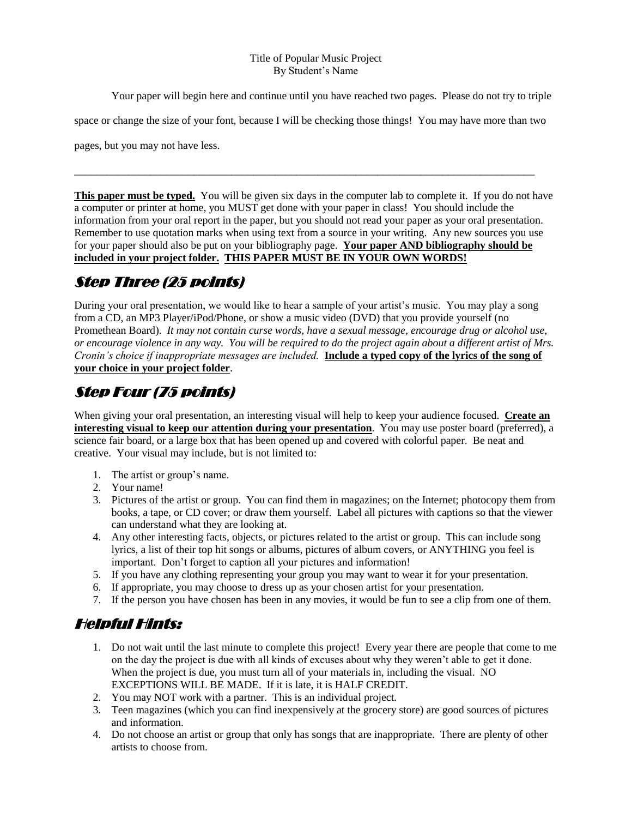#### Title of Popular Music Project By Student's Name

Your paper will begin here and continue until you have reached two pages. Please do not try to triple

space or change the size of your font, because I will be checking those things! You may have more than two

\_\_\_\_\_\_\_\_\_\_\_\_\_\_\_\_\_\_\_\_\_\_\_\_\_\_\_\_\_\_\_\_\_\_\_\_\_\_\_\_\_\_\_\_\_\_\_\_\_\_\_\_\_\_\_\_\_\_\_\_\_\_\_\_\_\_\_\_\_\_\_\_\_\_\_\_\_\_\_\_\_\_\_\_\_

pages, but you may not have less.

**This paper must be typed.** You will be given six days in the computer lab to complete it. If you do not have a computer or printer at home, you MUST get done with your paper in class! You should include the information from your oral report in the paper, but you should not read your paper as your oral presentation. Remember to use quotation marks when using text from a source in your writing. Any new sources you use for your paper should also be put on your bibliography page. **Your paper AND bibliography should be included in your project folder. THIS PAPER MUST BE IN YOUR OWN WORDS!**

### Step Three (25 points)

During your oral presentation, we would like to hear a sample of your artist's music. You may play a song from a CD, an MP3 Player/iPod/Phone, or show a music video (DVD) that you provide yourself (no Promethean Board). *It may not contain curse words, have a sexual message, encourage drug or alcohol use, or encourage violence in any way. You will be required to do the project again about a different artist of Mrs. Cronin's choice if inappropriate messages are included.* **Include a typed copy of the lyrics of the song of your choice in your project folder**.

### Step Four (75 points)

When giving your oral presentation, an interesting visual will help to keep your audience focused. **Create an interesting visual to keep our attention during your presentation**. You may use poster board (preferred), a science fair board, or a large box that has been opened up and covered with colorful paper. Be neat and creative. Your visual may include, but is not limited to:

- 1. The artist or group's name.
- 2. Your name!
- 3. Pictures of the artist or group. You can find them in magazines; on the Internet; photocopy them from books, a tape, or CD cover; or draw them yourself. Label all pictures with captions so that the viewer can understand what they are looking at.
- 4. Any other interesting facts, objects, or pictures related to the artist or group. This can include song lyrics, a list of their top hit songs or albums, pictures of album covers, or ANYTHING you feel is important. Don't forget to caption all your pictures and information!
- 5. If you have any clothing representing your group you may want to wear it for your presentation.
- 6. If appropriate, you may choose to dress up as your chosen artist for your presentation.
- 7. If the person you have chosen has been in any movies, it would be fun to see a clip from one of them.

#### Helpful Hints:

- 1. Do not wait until the last minute to complete this project! Every year there are people that come to me on the day the project is due with all kinds of excuses about why they weren't able to get it done. When the project is due, you must turn all of your materials in, including the visual. NO EXCEPTIONS WILL BE MADE. If it is late, it is HALF CREDIT.
- 2. You may NOT work with a partner. This is an individual project.
- 3. Teen magazines (which you can find inexpensively at the grocery store) are good sources of pictures and information.
- 4. Do not choose an artist or group that only has songs that are inappropriate. There are plenty of other artists to choose from.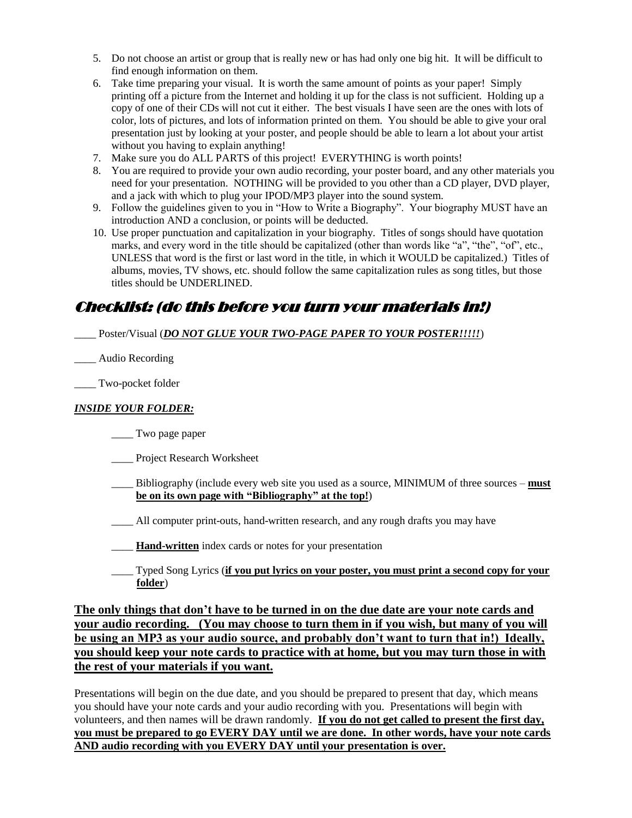- 5. Do not choose an artist or group that is really new or has had only one big hit. It will be difficult to find enough information on them.
- 6. Take time preparing your visual. It is worth the same amount of points as your paper! Simply printing off a picture from the Internet and holding it up for the class is not sufficient. Holding up a copy of one of their CDs will not cut it either. The best visuals I have seen are the ones with lots of color, lots of pictures, and lots of information printed on them. You should be able to give your oral presentation just by looking at your poster, and people should be able to learn a lot about your artist without you having to explain anything!
- 7. Make sure you do ALL PARTS of this project! EVERYTHING is worth points!
- 8. You are required to provide your own audio recording, your poster board, and any other materials you need for your presentation. NOTHING will be provided to you other than a CD player, DVD player, and a jack with which to plug your IPOD/MP3 player into the sound system.
- 9. Follow the guidelines given to you in "How to Write a Biography". Your biography MUST have an introduction AND a conclusion, or points will be deducted.
- 10. Use proper punctuation and capitalization in your biography. Titles of songs should have quotation marks, and every word in the title should be capitalized (other than words like "a", "the", "of", etc., UNLESS that word is the first or last word in the title, in which it WOULD be capitalized.) Titles of albums, movies, TV shows, etc. should follow the same capitalization rules as song titles, but those titles should be UNDERLINED.

#### Checklist: (do this before you turn your materials in!)

\_\_\_\_ Poster/Visual (*DO NOT GLUE YOUR TWO-PAGE PAPER TO YOUR POSTER!!!!!*)

\_\_\_\_ Audio Recording

\_\_\_\_ Two-pocket folder

#### *INSIDE YOUR FOLDER:*

- \_\_\_\_ Two page paper
- Project Research Worksheet
- \_\_\_\_ Bibliography (include every web site you used as a source, MINIMUM of three sources **must be on its own page with "Bibliography" at the top!**)
- \_\_\_\_ All computer print-outs, hand-written research, and any rough drafts you may have
- **Hand-written** index cards or notes for your presentation
- \_\_\_\_ Typed Song Lyrics (**if you put lyrics on your poster, you must print a second copy for your folder**)

**The only things that don't have to be turned in on the due date are your note cards and your audio recording. (You may choose to turn them in if you wish, but many of you will be using an MP3 as your audio source, and probably don't want to turn that in!) Ideally, you should keep your note cards to practice with at home, but you may turn those in with the rest of your materials if you want.**

Presentations will begin on the due date, and you should be prepared to present that day, which means you should have your note cards and your audio recording with you. Presentations will begin with volunteers, and then names will be drawn randomly. **If you do not get called to present the first day, you must be prepared to go EVERY DAY until we are done. In other words, have your note cards AND audio recording with you EVERY DAY until your presentation is over.**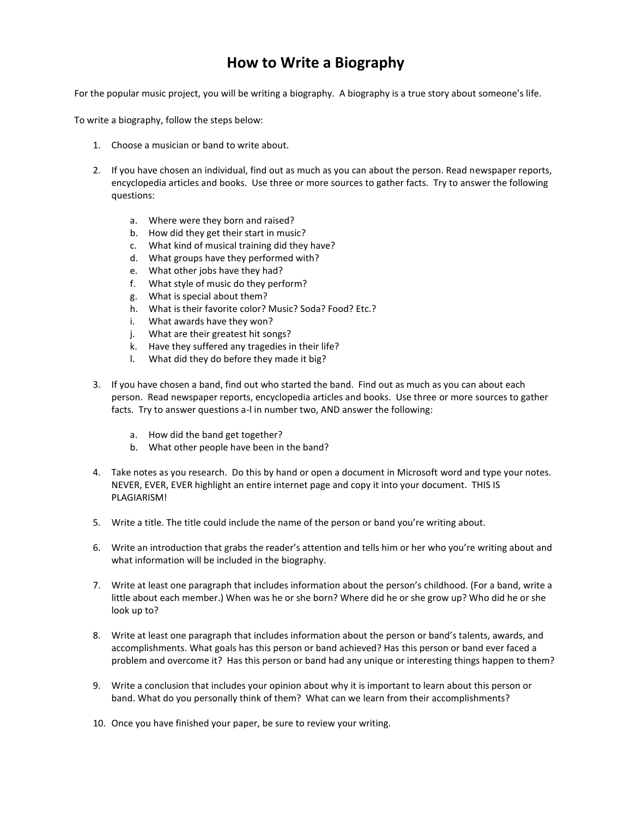### **How to Write a Biography**

For the popular music project, you will be writing a biography. A biography is a true story about someone's life.

To write a biography, follow the steps below:

- 1. Choose a musician or band to write about.
- 2. If you have chosen an individual, find out as much as you can about the person. Read newspaper reports, encyclopedia articles and books. Use three or more sources to gather facts. Try to answer the following questions:
	- a. Where were they born and raised?
	- b. How did they get their start in music?
	- c. What kind of musical training did they have?
	- d. What groups have they performed with?
	- e. What other jobs have they had?
	- f. What style of music do they perform?
	- g. What is special about them?
	- h. What is their favorite color? Music? Soda? Food? Etc.?
	- i. What awards have they won?
	- j. What are their greatest hit songs?
	- k. Have they suffered any tragedies in their life?
	- l. What did they do before they made it big?
- 3. If you have chosen a band, find out who started the band. Find out as much as you can about each person. Read newspaper reports, encyclopedia articles and books. Use three or more sources to gather facts. Try to answer questions a-l in number two, AND answer the following:
	- a. How did the band get together?
	- b. What other people have been in the band?
- 4. Take notes as you research. Do this by hand or open a document in Microsoft word and type your notes. NEVER, EVER, EVER highlight an entire internet page and copy it into your document. THIS IS PLAGIARISM!
- 5. Write a title. The title could include the name of the person or band you're writing about.
- 6. Write an introduction that grabs the reader's attention and tells him or her who you're writing about and what information will be included in the biography.
- 7. Write at least one paragraph that includes information about the person's childhood. (For a band, write a little about each member.) When was he or she born? Where did he or she grow up? Who did he or she look up to?
- 8. Write at least one paragraph that includes information about the person or band's talents, awards, and accomplishments. What goals has this person or band achieved? Has this person or band ever faced a problem and overcome it? Has this person or band had any unique or interesting things happen to them?
- 9. Write a conclusion that includes your opinion about why it is important to learn about this person or band. What do you personally think of them? What can we learn from their accomplishments?
- 10. Once you have finished your paper, be sure to review your writing.